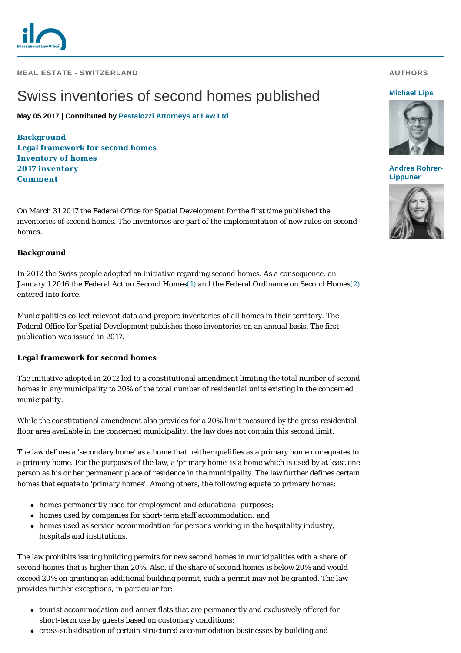

**REAL ESTATE - SWITZERLAND** 

# Swiss inventories of second homes published

**May 05 2017 | Contributed by [Pestalozzi Attorneys at Law Ltd](http://www.internationallawoffice.com/gesr.ashx?l=7UTA0C9)**

**[Background](#page-0-0) [Legal framework for second homes](#page-0-1) [Inventory of homes](#page-1-0) [2017 inventory](#page-1-1) [Comment](#page-1-2)**

On March 31 2017 the Federal Office for Spatial Development for the first time published the inventories of second homes. The inventories are part of the implementation of new rules on second homes.

# <span id="page-0-0"></span>**Background**

In 2012 the Swiss people adopted an initiative regarding second homes. As a consequence, on January 1 2016 the Federal Act on Second Homes[\(1\)](#page-1-3) and the Federal Ordinance on Second Homes[\(2\)](#page-1-4) entered into force.

Municipalities collect relevant data and prepare inventories of all homes in their territory. The Federal Office for Spatial Development publishes these inventories on an annual basis. The first publication was issued in 2017.

# <span id="page-0-1"></span>**Legal framework for second homes**

The initiative adopted in 2012 led to a constitutional amendment limiting the total number of second homes in any municipality to 20% of the total number of residential units existing in the concerned municipality.

While the constitutional amendment also provides for a 20% limit measured by the gross residential floor area available in the concerned municipality, the law does not contain this second limit.

The law defines a 'secondary home' as a home that neither qualifies as a primary home nor equates to a primary home. For the purposes of the law, a 'primary home' is a home which is used by at least one person as his or her permanent place of residence in the municipality. The law further defines certain homes that equate to 'primary homes'. Among others, the following equate to primary homes:

- homes permanently used for employment and educational purposes;
- homes used by companies for short-term staff accommodation; and
- homes used as service accommodation for persons working in the hospitality industry, hospitals and institutions.

The law prohibits issuing building permits for new second homes in municipalities with a share of second homes that is higher than 20%. Also, if the share of second homes is below 20% and would exceed 20% on granting an additional building permit, such a permit may not be granted. The law provides further exceptions, in particular for:

- tourist accommodation and annex flats that are permanently and exclusively offered for short-term use by guests based on customary conditions;
- cross-subsidisation of certain structured accommodation businesses by building and

# **AUTHORS**

#### **[Michael Lips](http://www.internationallawoffice.com/gesr.ashx?l=7UTA0CT)**



#### **[Andrea Rohrer-](http://www.internationallawoffice.com/gesr.ashx?l=7UTA0CW)Lippuner**

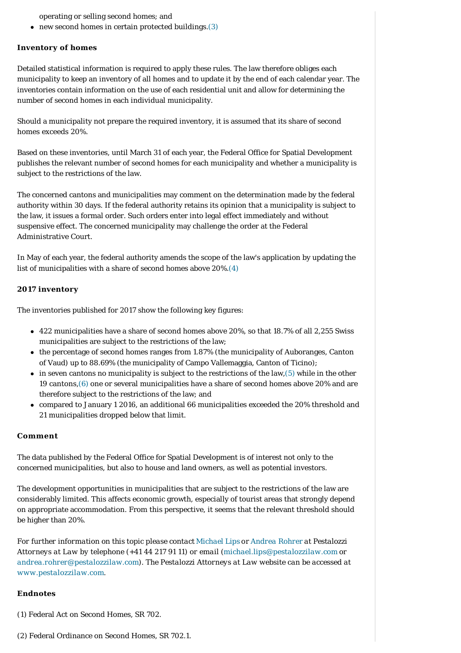operating or selling second homes; and

 $\bullet$  new second homes in certain protected buildings.[\(3\)](#page-2-0)

## <span id="page-1-0"></span>**Inventory of homes**

Detailed statistical information is required to apply these rules. The law therefore obliges each municipality to keep an inventory of all homes and to update it by the end of each calendar year. The inventories contain information on the use of each residential unit and allow for determining the number of second homes in each individual municipality.

Should a municipality not prepare the required inventory, it is assumed that its share of second homes exceeds 20%.

Based on these inventories, until March 31 of each year, the Federal Office for Spatial Development publishes the relevant number of second homes for each municipality and whether a municipality is subject to the restrictions of the law.

The concerned cantons and municipalities may comment on the determination made by the federal authority within 30 days. If the federal authority retains its opinion that a municipality is subject to the law, it issues a formal order. Such orders enter into legal effect immediately and without suspensive effect. The concerned municipality may challenge the order at the Federal Administrative Court.

In May of each year, the federal authority amends the scope of the law's application by updating the list of municipalities with a share of second homes above 20%[.\(4\)](#page-2-1)

## <span id="page-1-1"></span>**2017 inventory**

The inventories published for 2017 show the following key figures:

- $\bullet$  422 municipalities have a share of second homes above 20%, so that 18.7% of all 2,255 Swiss municipalities are subject to the restrictions of the law;
- $\bullet$  the percentage of second homes ranges from 1.87% (the municipality of Auboranges, Canton of Vaud) up to 88.69% (the municipality of Campo Vallemaggia, Canton of Ticino);
- $\bullet$  in seven cantons no municipality is subject to the restrictions of the law, [\(5\)](#page-2-2) while in the other 19 cantons[,\(6\)](#page-2-3) one or several municipalities have a share of second homes above 20% and are therefore subject to the restrictions of the law; and
- <sup>l</sup> compared to January 1 2016, an additional 66 municipalities exceeded the 20% threshold and 21 municipalities dropped below that limit.

#### <span id="page-1-2"></span>**Comment**

The data published by the Federal Office for Spatial Development is of interest not only to the concerned municipalities, but also to house and land owners, as well as potential investors.

The development opportunities in municipalities that are subject to the restrictions of the law are considerably limited. This affects economic growth, especially of tourist areas that strongly depend on appropriate accommodation. From this perspective, it seems that the relevant threshold should be higher than 20%.

*For further information on this topic please contact [Michael Lips](http://www.internationallawoffice.com/gesr.ashx?l=7UTA0CC) or [Andrea Rohrer](http://www.internationallawoffice.com/gesr.ashx?l=7UTA0CF) at Pestalozzi Attorneys at Law by telephone (+41 44 217 91 11) or email ([michael.lips@pestalozzilaw.com](mailto:michael.lips@pestalozzilaw.com?subject=Article%20on%20ILO) or [andrea.rohrer@pestalozzilaw.com\)](mailto:andrea.rohrer@pestalozzilaw.com). The Pestalozzi Attorneys at Law website can be accessed at [www.pestalozzilaw.com](http://www.internationallawoffice.com/gesr.ashx?l=7UTA0CJ)*.

#### **Endnotes**

<span id="page-1-3"></span>(1) Federal Act on Second Homes, SR 702.

<span id="page-1-4"></span>(2) Federal Ordinance on Second Homes, SR 702.1.